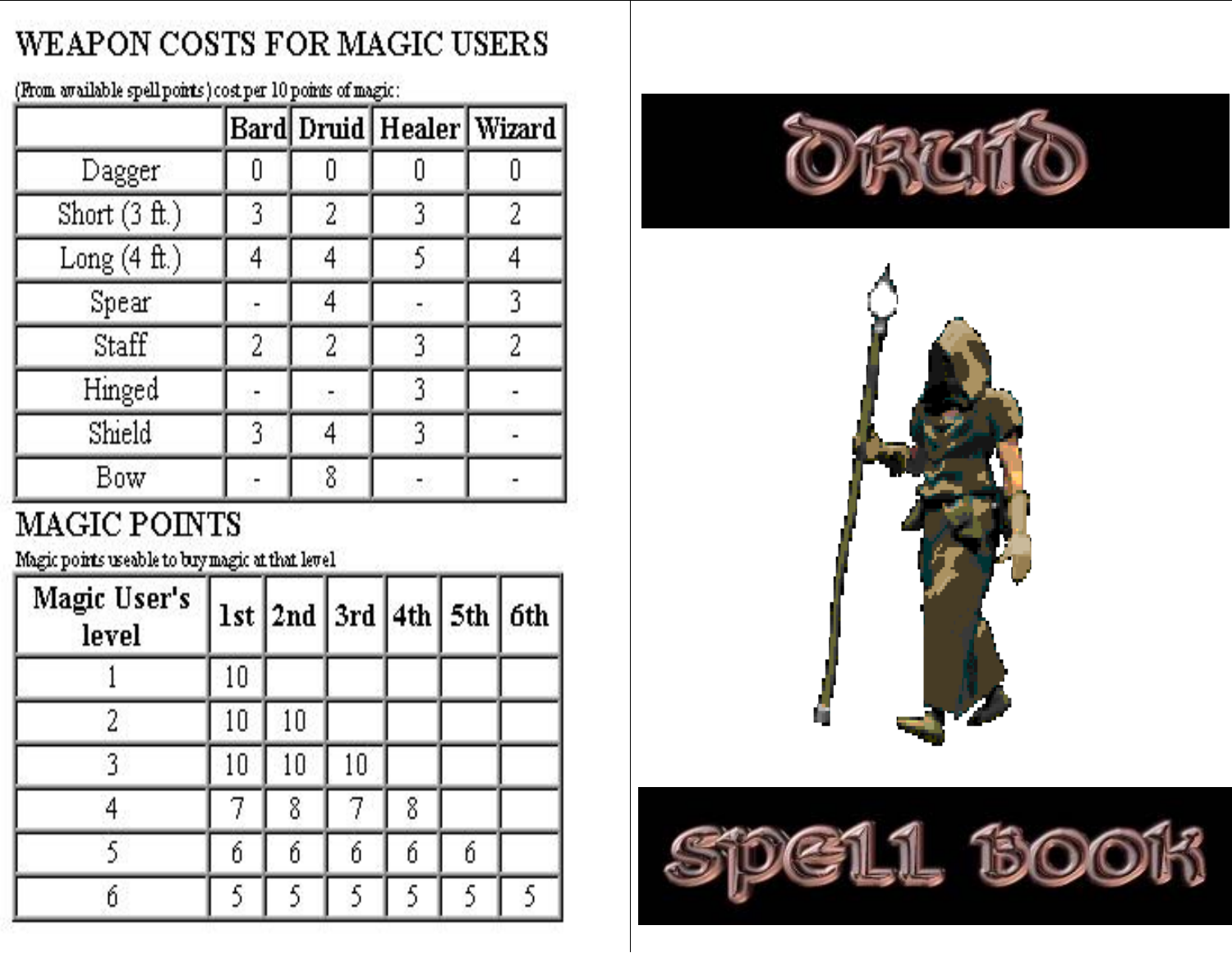# WEAPON COSTS FOR MAGIC USERS

(From available spell points) cost per 10 points of magic:

|                 |                |   |   | Bard  Druid  Healer  Wizard |  |
|-----------------|----------------|---|---|-----------------------------|--|
| Dagger          |                |   |   |                             |  |
| Short $(3 ft.)$ | $\overline{3}$ | 2 | 3 | $\overline{2}$              |  |
| Long $(4 ft.)$  | 4              | 4 | 5 |                             |  |
| Spear           |                | 4 |   | 3                           |  |
| Staff           | $\overline{2}$ | 2 | 3 | 2                           |  |
| Hinged          |                |   | 3 |                             |  |
| Shield          | 3              | 4 | 3 |                             |  |
| Bow             |                | 8 |   |                             |  |

# MAGIC POINTS

Magic points useable to bry magic at that level

| Magic User's<br>level |    | 1st   2nd   3rd   4th   5th   6th |    |                |   |   |
|-----------------------|----|-----------------------------------|----|----------------|---|---|
|                       | 10 |                                   |    |                |   |   |
| $\overline{2}$        | 10 | 10                                |    |                |   |   |
| 3                     | 10 | 10                                | 10 |                |   |   |
| 4                     | 7  | 8                                 | 7  | 8              |   |   |
| 5                     | б  | 6                                 | б  | 6              | 6 |   |
| ń                     | 5  | $\overline{\mathfrak{H}}$         | 5  | $\overline{5}$ | 5 | 5 |





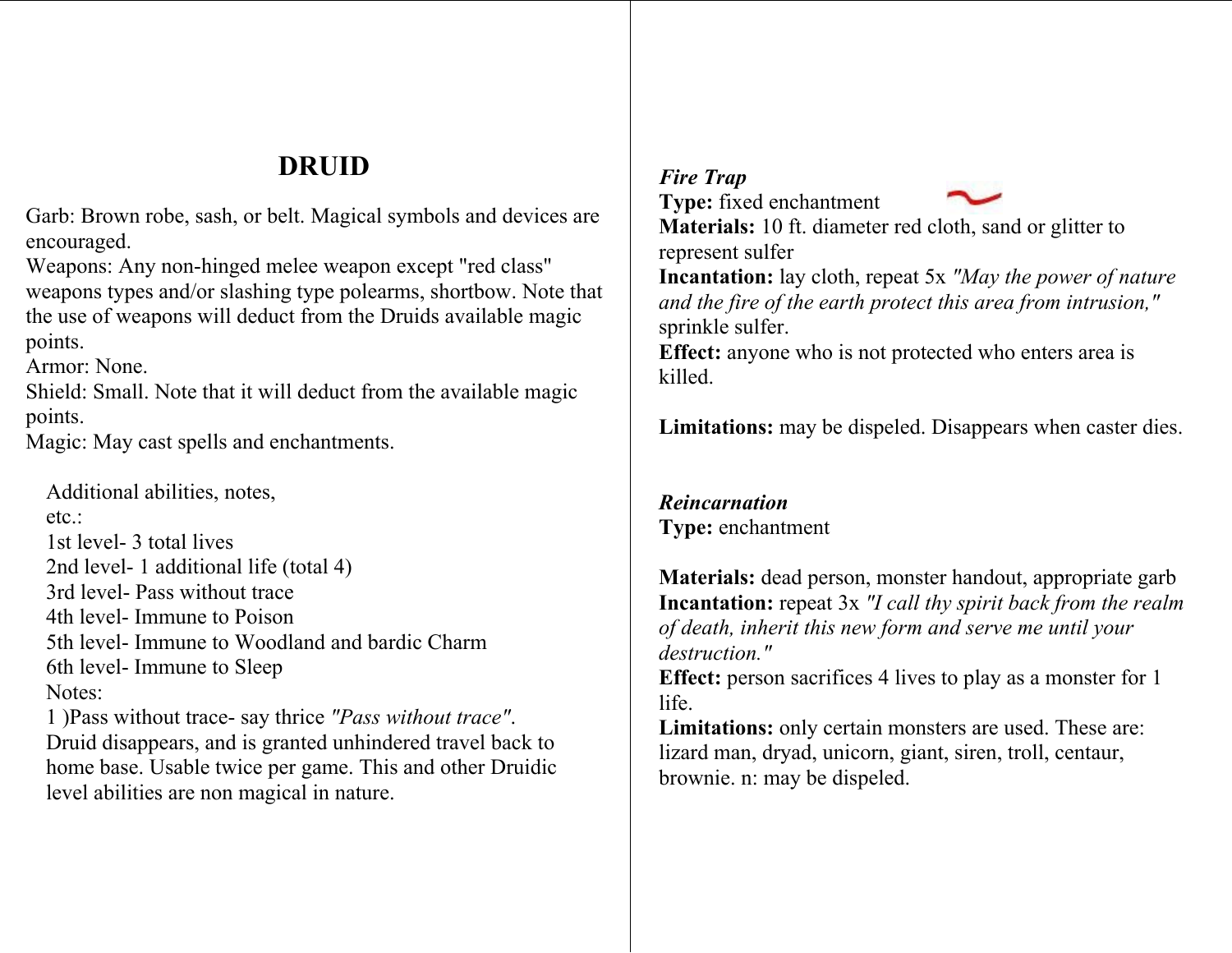# **DRUID**

Garb: Brown robe, sash, or belt. Magical symbols and devices are encouraged.

Weapons: Any non-hinged melee weapon except "red class" weapons types and/or slashing type polearms, shortbow. Note that the use of weapons will deduct fro m the Druids available magic points.

Armor: None.

Shield: Small. Note that it will deduct from the available magic points.

Magic: M ay cast spells and enchantments.

Additional abilities, notes, etc.: 1st level- 3 total lives 2nd level- 1 additional life (total 4) 3rd level- Pass without trace 4th level- Immune to Poison 5th level- Immune to Woodland and bardic Charm6th level- Imm une to Sleep Notes:

1 )Pass without t race- say thrice *"Pass without trace"*. Druid disappears, and is granted unhindered travel back to home base. Usable twice per game. This and other Druidic level abilities are non m agical in nature.

#### *Fire Trap*  **Type:** fixed enchantment



**Materials:** 10 ft. diameter red cloth, sand or glitter to represent sulfer

**Incantation:** lay cloth, repeat 5x *"May the power of nature and the fire of the earth protect this area from intrusion,"* sprinkle sulfer.

**Effect:** anyone who is not protected who enters area is killed.

**Limitations:** may be dispeled. Disappears when caster dies.

# *Reincarnation* **Type:** enchantment

**Materials:** dead person, monster handout, appropriate garb **Incantation:** repeat 3x *"I call thy spirit back from the realm of death, inherit this new form and serve me until your destruction."*

**Effect:** person sacrifices 4 lives to play as a monster for 1 life.

**Limitations:** only certain monsters are used. These are: lizard man, dryad, unicorn, giant, siren, troll, centaur, brownie. n: m ay be dispeled.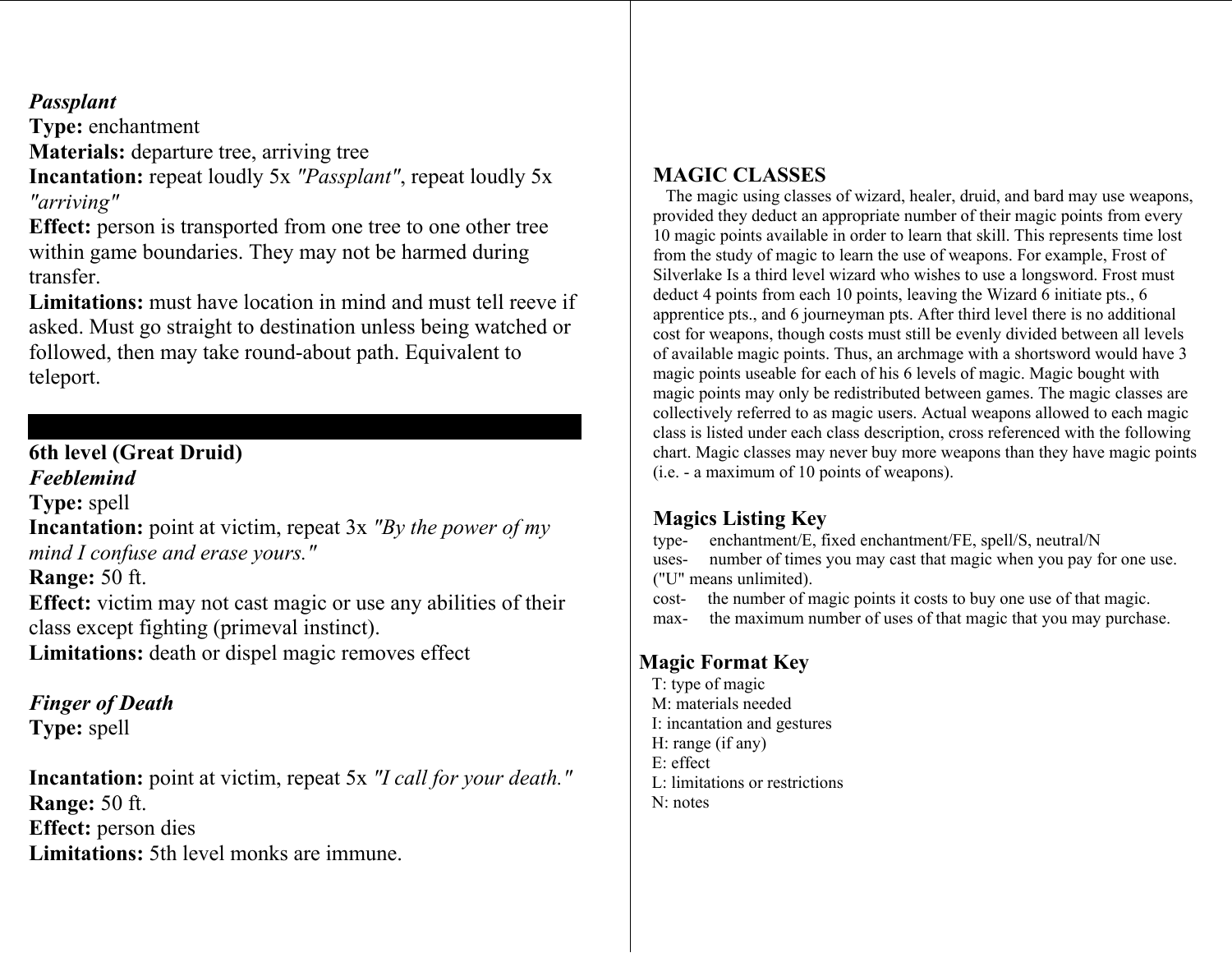# *Passplant*

**Type:** enchantment

**Materials:** departure tree, arriving tree

**Incantation:** repeat loudly 5x *"Passplant"*, repeat loudly 5x *"arriving"*

**Effect:** person is transported from one tree to one other tree within game boundaries. They may not be harmed during transfer.

**Limitations:** must have location in mind and must tell reeve if asked. Must go straight to destination unless being watched or followed, then may take round-about path. Equivalent to teleport.

# **6th level (Great Druid)**

*Feeblemind* 

**Type:** spell

**Incantation:** point at victim, repeat 3x *"By the power of my mind I confuse and erase yours."*

**Range:** 50 ft.

**Effect:** victim may not cast magic or use any abilities of their class except fighting (primeval instinct).

**Limitations:** death or dispel magic removes effect Magic Format Key

# *Finger of Death*

**Type:** spell

**Incantation:** point at victim, repeat 5x *"I call for your death."* **Range:** 50 ft. **Effect:** person dies **Limitations:** 5th level monks are immune.

# **MAGIC CLASSES**

 The magic using classes of wizard, healer, druid, and bard may use weapons, provided they deduct an appropriate number of their magic points from every 10 magic points available in order to learn that skill. This represents time lost from the study of magic to learn the use of weapons. For example, Frost of Silverlake Is a third level wizard who wishes to use a longsword. Frost must deduct 4 points from each 10 points, leaving the Wizard 6 initiate pts., 6 apprentice pts., and 6 journeyman pts. After third level there is no additional cost for weapons, though costs must still be evenly divided between all levels of available magic points. Thus, an archmage with a shortsword would have 3 magic points useable for each of his 6 levels of magic. Magic bought with magic points may only be redistributed between games. The magic classes are collectively referred to as magic users. Actual weapons allowed to each magic class is listed under each class description, cross referenced with the following chart. Magic classes may never buy more weapons than they have magic points (i.e. - a maximum of 10 points of weapons).

# **Magics Listing Key**

type- enchantment/E, fixed enchantment/FE, spell/S, neutral/N uses- number of times you may cast that magic when you pay for one use. ("U" means unlimited).

cost- the number of magic points it costs to buy one use of that magic.

max- the maximum number of uses of that magic that you may purchase.

 T: type of magic M: materials needed I: incantation and gestures H: range (if any) E: effect L: limitations or restrictions N: notes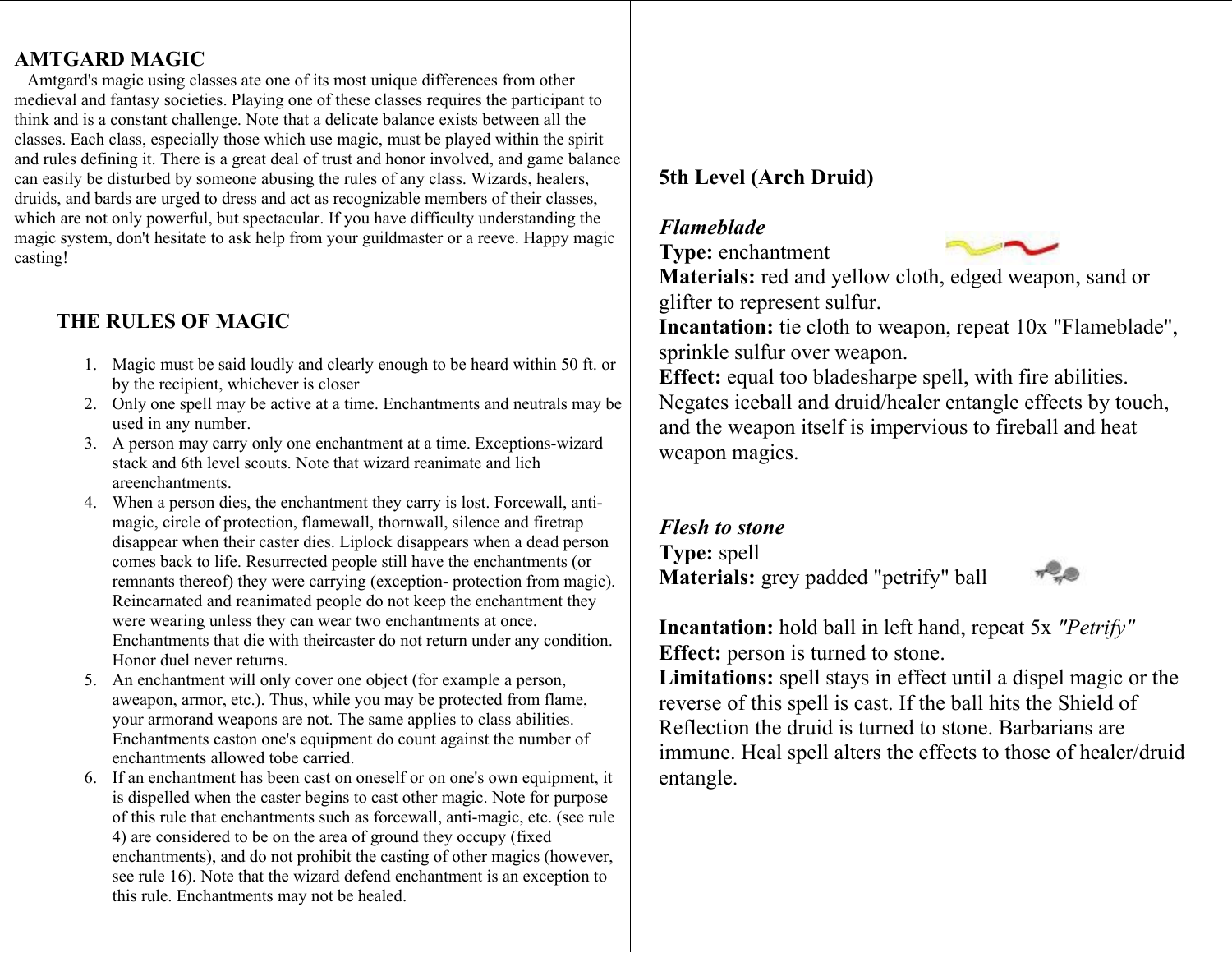# **AMTGARD MAGIC**

 Amtgard's magic using classes ate one of its m ost unique differences fro m other medieval and fantasy societies. Playing one of these classes requires the participant to think and is a constant challenge. Note that a delicate balance exists between all the classes. Each class, especially those which use magic, must be played within the spirit and rules defining it. There is a great deal of trust and honor inv olved, and game balance can easily be disturbed by so meone abusing the rules of any class. Wizards, healers, druids, and bards are urged to dress and act as recognizable members of their classes, which are not onl y powerful, but spectacular. If you have difficulty understanding the magic system, don't hesitate to ask help from your g uildmaster or a reeve. Happy magic casting!

#### **THE RULES OF MAGIC**

- 1. Magic must be said loudl y and clearly enough to be heard within 5 0 ft. or by the recipient, whichever is closer
- 2. Only one spell may be active at a ti me. Enchantments and neutrals may be used in any number.
- 3. A person may carry only one enchantme nt at a time. Exceptions-wizard stack and 6th level scouts. Note that wizard reanimate and lich areenchant ments.
- 4. When a person dies, the enchant ment they carry is lost. Forcewall, antimagic, circle of protection, flamewall, thornwall, silence and firetrap disappear when their caster dies. Liplock disappears when a dead person co mes back to life. Resurrected people still have the enchant ments (or remnants thereof) they were carrying (exception- protection from magic). Reincarnated and reani mated people do not keep the e nchantment they were wearing unless they can wear two enchantments at once. Enchantments that die with theircaster do not return under any condition. Honor duel never returns.
- 5. An enchant ment will onl y cover one object (for example a person, aweapon, arm or, etc.). Thus, while y o u may be protected fro m flame, your arm oran d weapons are not. The same applies to class abilities. Enchantments caston one's equipment do count against the number of enchantments allowed tobe carried.
- 6. If an enchantment has bee n cast on oneself or on one's own equipment, it is dispelled when the caster begins to cast other magic. Note for purpose of this rule that enchant ments such as forcewall, anti-magic, etc. (see rule 4) are considered to be on the area of ground the y occup y (fixed enchantments), and do not prohibit the casting of other magics (however, see rule 16). Note that the wizard defe n d enchantment is an exception to this rule. Enc hantments may not be healed.

# **5th Level (Arch Druid)**

#### *Flameblade*

**Type:** enchantment



**Materials:** red and yellow cloth, edged weapon, sand or glifter to represent sulfur.

**Incantation:** tie cloth to weapon, repeat 10x "Flameblade", sprinkle sulfur over weapon.

**Effect:** equal too bladesharpe spell, with fire abilities. Negates iceball and druid/healer entangle effects by touch, and the weapon itself is impervious to fireball and heat weapon magics.

#### *Flesh to stone*

**Type:** spell **Materials:** grey padded "petrify" ball



**Incantation:** hold ball in left hand, repeat 5x *"Petrify"* **Effect:** person is turned to stone.

**Limitations:** spell stays in effect until a dispel magic or the reverse of this spell is cast. If the ball hits the Shield of Reflection the druid is turned to stone. Barbarians are immu n e. Heal spell alters the effects to those of healer/druid entangle.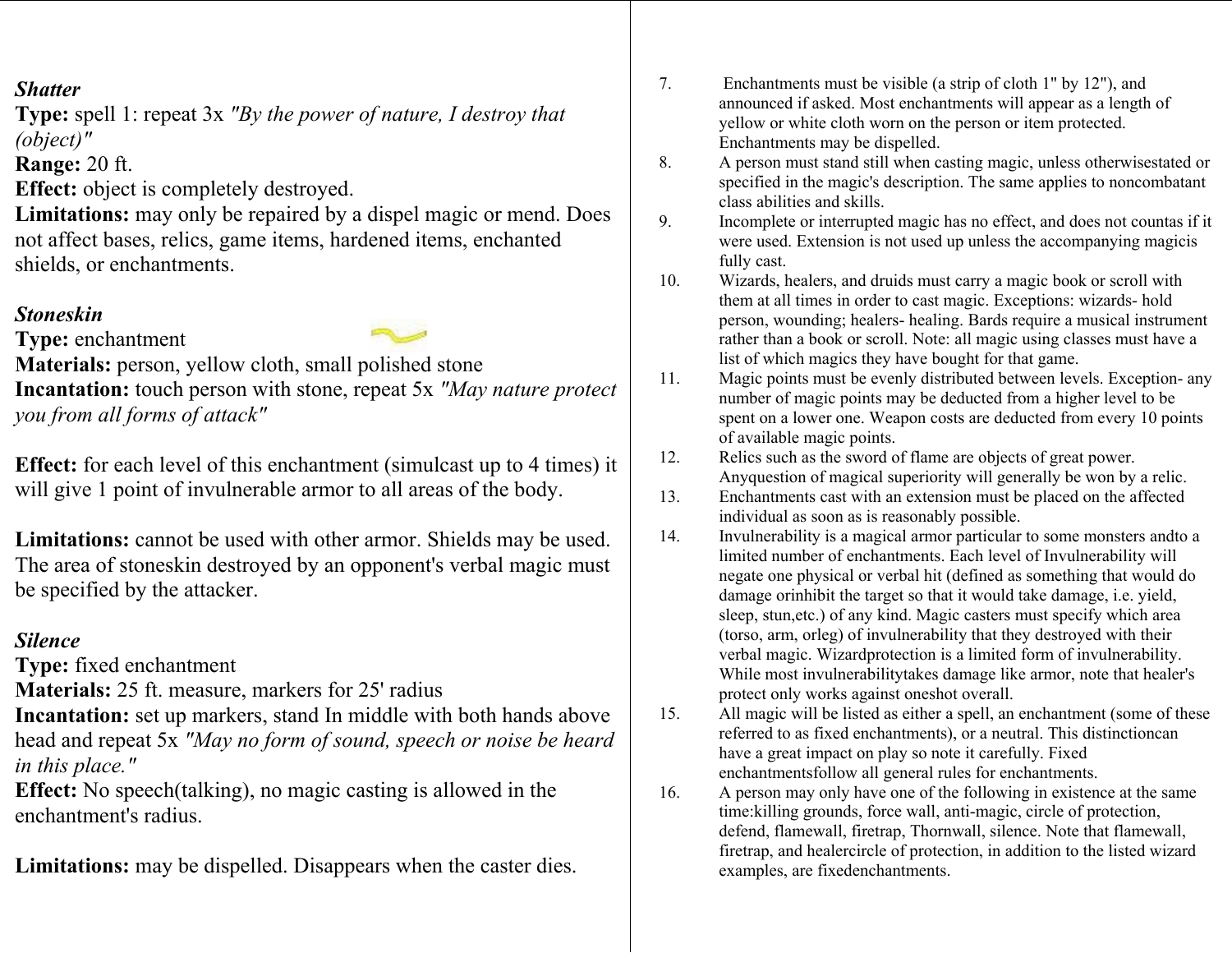#### *Shatter*

**Type:** spell 1: repeat 3x *"By the power of nature, I destroy that (object)"*

**Range:** 20 ft.

**Effect:** object is completely destroyed.

Limitations: may only be repaired by a dispel magic or mend. Does not affect bases, relics, game items, hardened items, enchanted shields, or enchant ments.

#### *Stoneskin*

**Type:** enchantment

**Materials:** person, yellow cloth, small polished stone

**Incantation:** touch person with stone, repeat 5x *"May nature protect you from all forms of attack"*

**Effect:** for each level of this enchantment (simulcast up to 4 times) it will give 1 point of invulnerable arm or to all areas of the body.

**Limitations:** cannot be used with other arm or. Shields may be used. The area of stoneski n destroyed by an opponent's verbal m agic m ust be specified by the attacker.

#### *Silence*

**Type:** fixed enchantment

**Materials:** 25 ft. measure, markers for 25' radius

**Incantation:** set up markers, stand In middle with both hands above head and repeat 5x *"May no form of sound, speech or noise be heard in this place."*

**Effect:** No speech(talking), no magic casting is allowed in the enchantment's radius.

**Limitations:** may be dispelled. Disappears when the caster dies.

- 7. Enchantments must be visible (a strip of cloth 1" by 12"), and announced if asked. Most enchantments will appear as a length of yellow or white cloth worn on the person or item protected. Enchantments may be dispelled.
- 8. A person must stand still when casting magic, unless otherwisestated or specified in the magic's description. The same applies to noncombatant class abilities and skills.
- 9. Incomplete or interrupted magic has no effect, and does not countas if it were used. Extension is not used up unless the accompanying magicis fully cast.
- 10. Wizards, healers, and druids must carry a magic book or scroll with the m at all times in order to cast magic. Exceptions: wizards- hold person, wounding; healers- healing. Bards require a musical instrument rather than a book or scroll. Note: all magic using classes must have a list of which magics they have bought for that game.
- 11. Magic points must be evenly distributed between levels. Exception- any number of magic points may be deducted from a higher level to be spent on a lower one. Weapon costs are deducted from every 10 points of available magic points.
- 12. Relics such as the sword of fla me are objects of great power. Anyquestion of magical superiority will generally be won by a relic.
- 13. Enchantments cast with an extension must be placed on the affected individual as soon as is reasonabl y p ossible.
- 14.Invulnerability is a magical armor particular to some monsters and to a limited number of enchantments. Each level of Invulnerability will negate one ph ysical or verbal hit (defined as so mething that would do damage orinhibit the target so that it would take damage, i.e. yield, sleep, stun,etc.) of any kind. Magic casters must specify which area (torso, arm, orleg) of invul nerability that the y destroyed with their verbal magic. Wizardprotection is a limited form of invulnerabilit y. While m ost invulnerabilit ytakes damage like arm or, note that healer's protect onl y works against oneshot o verall.
- 15. All magic will be listed as either a spell, an enchantment (some of these referred to as fixed enchantments), or a neutral. This distinctioncan have a great impact on play so note it carefully. Fixed enchant mentsfollow all general rules for enchant ments.
- 16.A person may only have one of the following in existence at the same time:killing grounds, force wall, anti-magic, circle of protection, defend, flamewall, firetrap, Thornwall, silence. Note that flamewall, firetrap, and healercircle of protection, i n addition to the listed wizard examples, are fixedenchantments.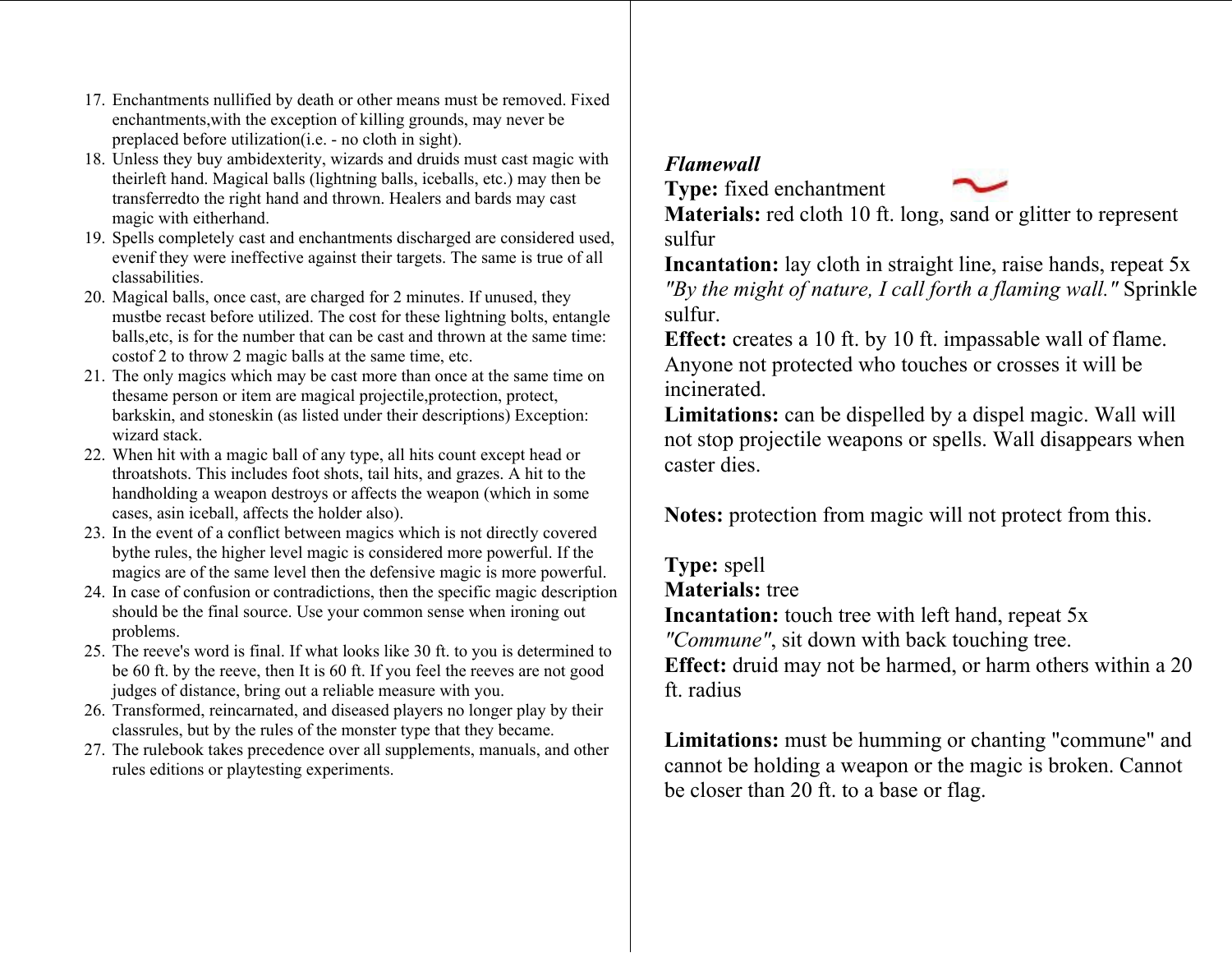- 17. Enchantments nullified by death or other means must be removed. Fixed enchant ments,with the exception of killing grounds, may never be preplaced before utilization(i.e. - no cloth in sight).
- 18. Unless they buy ambidexterity, wizards and druids must cast magic with theirleft hand. Magical balls (lightnin g balls, iceballs, etc.) may then be transferredto the right hand and thrown. Healers and bards may cast magic with eitherhand.
- 19. Spells co mpletely cast and enchantments discharged are considere d used, evenif they were ineffective against their targets. The same is true of all classabilities.
- 20. Magical balls, once cast, are charged for 2 minutes. If unused, the y mustbe recast before utilized. The cost for these lightning bolts, entangle balls,etc, is for the number that can be cast and thrown at the sa me time: costof 2 to throw 2 magic balls at the same time, etc.
- 21. The only magics which may be cast m ore than once at the sa me time on thesame person or item are magical projectile,protection, protect, barkskin, and stoneskin (as listed under t heir descriptions) Exception: wizard stack.
- 22. When hit wit h a magic ball of an y type, all hits count except head or throatshots. This includes foot shots, tail hits, and grazes. A hit to the handholding a weapon destro ys or affects the weapon (which in some cases, asin iceball, affects the holder also).
- 23. In the event of a conflict between magics which is not directly covered bythe rules, the higher level magic is considered m ore powerful. If the magics are of the sa me level then the defensive magic is m ore powerful.
- 24. In case of confusion or contradictions, then the specific magic description should be the final source. Use your common sense when ironin g out problems.
- 25. The reeve's word is final. If what looks like 30 ft. t o you is determined to be 60 ft. b y t he reeve, then It is 60 ft. If you feel the reeves are not good judges of distance, bring out a reliable measure with you.
- 26. Transfor med, reincarnated, and diseased players no longer pla y by their classrules, but by the rules of the monster type that the y beca me.
- 27. The rulebook takes precedence over all supplements, manuals, and other rules editions or pla ytesting experiments.

# *Flamewall*



**Type:** fixed enchantment **Materials:** red cloth 10 ft. long, sand or glitter to represent sulfur

**Incantation:** lay cloth in straight line, raise hands, repeat 5x *"By the might of nature, I call forth a flaming wall."* Sprinkle sulfur.

**Effect:** creates a 10 ft. by 10 ft. impassable wall of flame. Anyone not protected who touches or crosses it will be incinerated.

**Limitations:** can be dispelled by a dispel magic. Wall will not stop projectile weapons or spells. Wall disappears when caster dies.

**Notes:** protection from magic will not protect from this.

**Type:** spell

**Materials:** tree

**Incantation:** touch tree with left hand, repeat 5x

*"Commun <sup>e</sup>"*, sit down with back touching tree.

**Effect:** druid may not be harmed, or harm others within a 20 ft. radius

**Limitations:** must be humming or chanting "commune" and cannot be holding a weapon or the magic is broken. Cannot be closer than 20 ft. to a base or flag.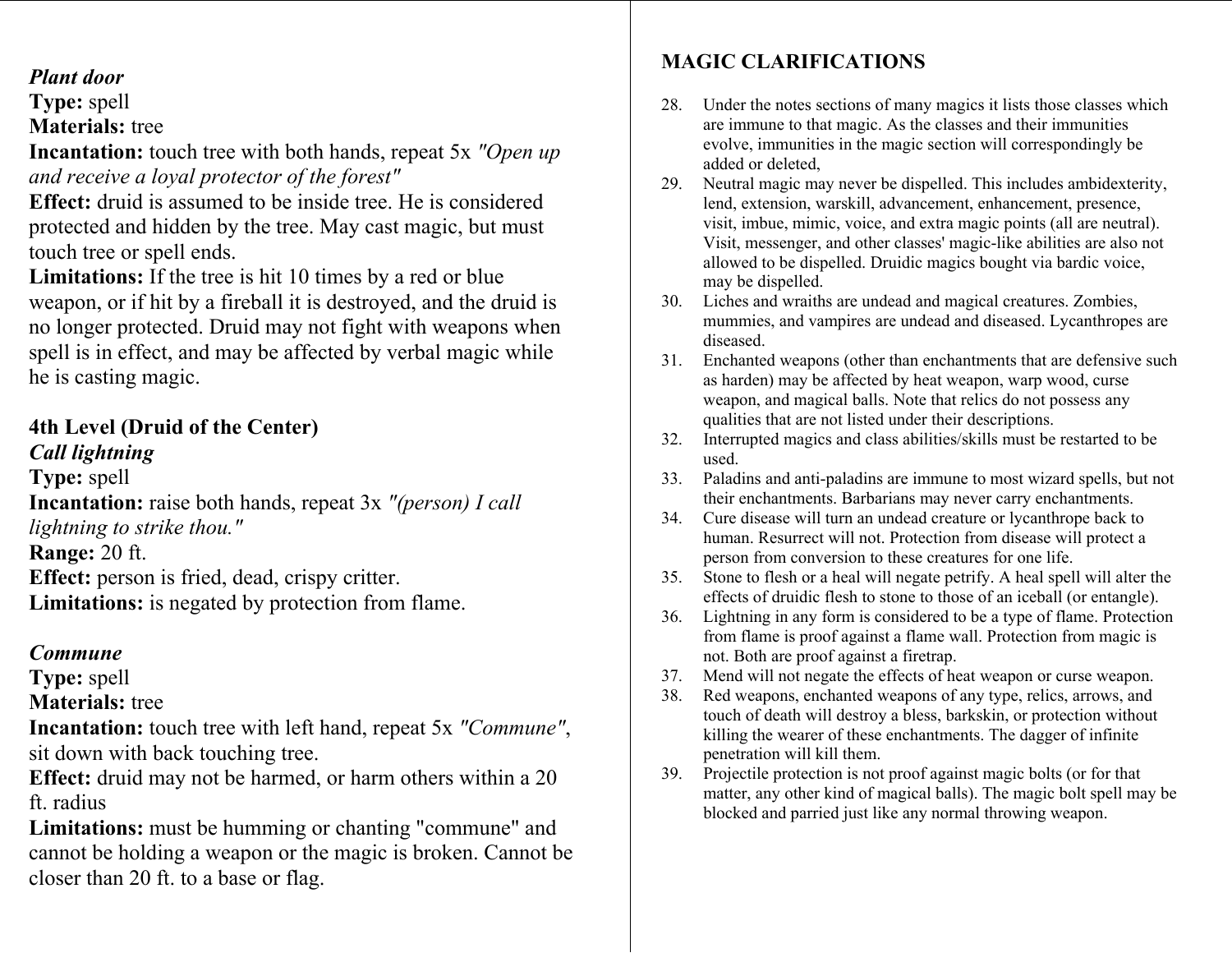#### *Plant door*

#### **Type:** spell

**Materials:** tree

**Incantation:** touch tree with both hands, repeat 5x *"Open up and receive a loyal protector of the forest"*

**Effect:** druid is assumed to be inside tree. He is considered protected and hidden by the tree. May cast magic, but must touch tree or spell ends.

**Limitations:** If the tree is hit 10 times by a red or blue weapon, or if hit by a fireball it is destroyed, and the druid is no longer protected. Druid may not fight with weapons when spell is in effect, and may be affected by verbal magic while he is casting magic.

# **4th Level (Druid of the Center)**

*Call lightning* 

**Type:** spell **Incantation:** raise both hands, repeat 3x *"(person) I call lightning to strike thou."* **Range:** 20 ft. **Effect:** person is fried, dead, crispy critter. **Limitations:** is negated by protection from flame.

#### *Commune*

**Type:** spell

**Materials:** tree

**Incantation:** touch tree with left hand, repeat 5x *"Commune"*, sit down with back touching tree.

**Effect:** druid may not be harmed, or harm others within a 20 ft. radius

**Limitations:** must be humming or chanting "commune" and cannot be holding a weapon or the magic is broken. Cannot be closer than 20 ft. to a base or flag.

# **MAGIC CLARIFICATIONS**

- 28. Under the notes sections of many magics it lists those classes which are immune to that magic. As the classes and their immunities evolve, immunities in the magic section will correspondingly be added or deleted,
- 29. Neutral magic may never be dispelled. This includes ambidexterity, lend, extension, warskill, advancement, enhancement, presence, visit, imbue, mimic, voice, and extra magic points (all are neutral). Visit, messenger, and other classes' magic-like abilities are also not allowed to be dispelled. Druidic magics bought via bardic voice, may be dispelled.
- 30. Liches and wraiths are undead and magical creatures. Zombies, mummies, and vampires are undead and diseased. Lycanthropes are diseased.
- 31. Enchanted weapons (other than enchantments that are defensive such as harden) may be affected by heat weapon, warp wood, curse weapon, and magical balls. Note that relics do not possess any qualities that are not listed under their descriptions.
- 32. Interrupted magics and class abilities/skills must be restarted to be used.
- 33. Paladins and anti-paladins are immune to most wizard spells, but not their enchantments. Barbarians may never carry enchantments.
- 34. Cure disease will turn an undead creature or lycanthrope back to human. Resurrect will not. Protection from disease will protect a person from conversion to these creatures for one life.
- 35. Stone to flesh or a heal will negate petrify. A heal spell will alter the effects of druidic flesh to stone to those of an iceball (or entangle).
- 36. Lightning in any form is considered to be a type of flame. Protection from flame is proof against a flame wall. Protection from magic is not. Both are proof against a firetrap.
- 37. Mend will not negate the effects of heat weapon or curse weapon.
- 38. Red weapons, enchanted weapons of any type, relics, arrows, and touch of death will destroy a bless, barkskin, or protection without killing the wearer of these enchantments. The dagger of infinite penetration will kill them.
- 39. Projectile protection is not proof against magic bolts (or for that matter, any other kind of magical balls). The magic bolt spell may be blocked and parried just like any normal throwing weapon.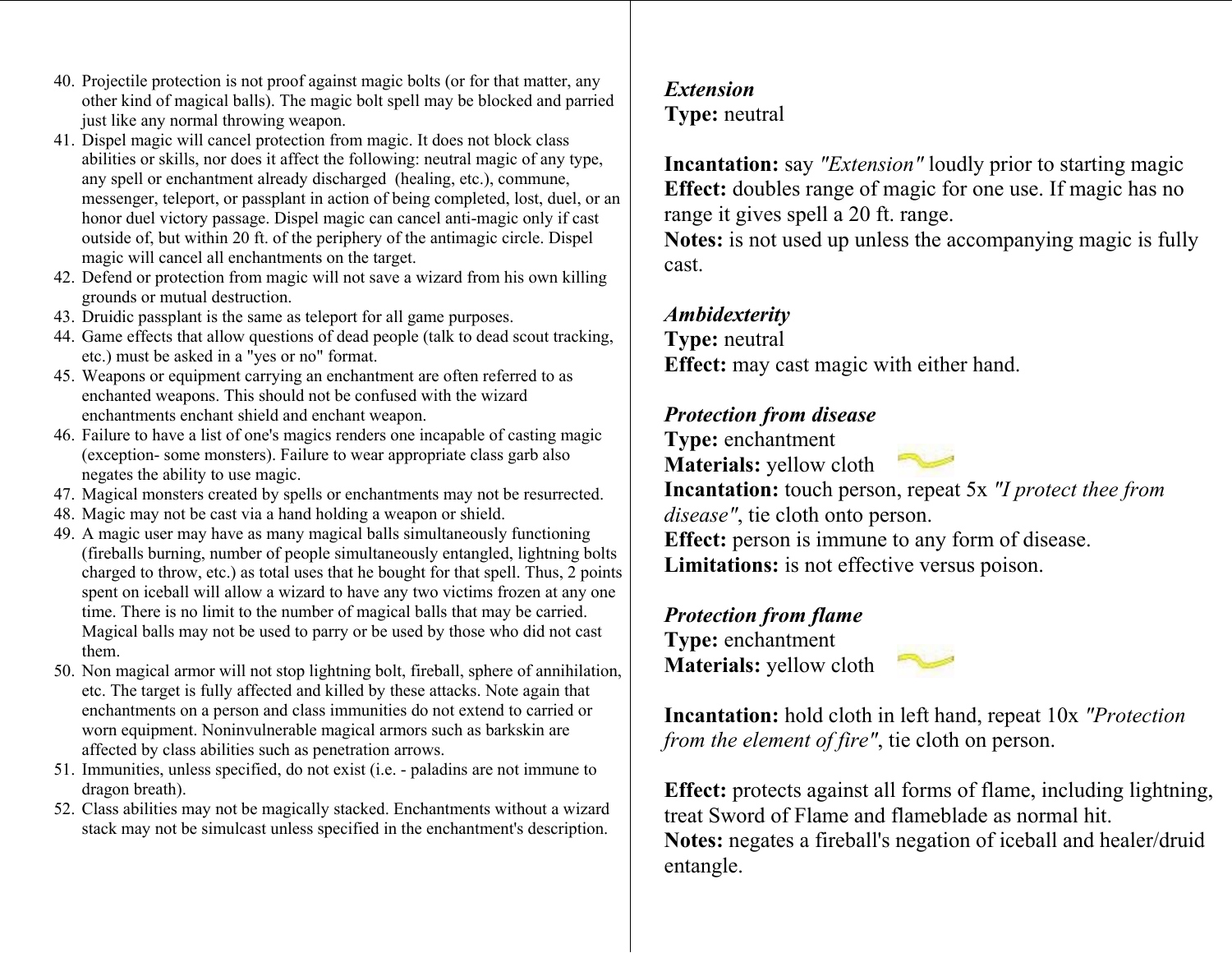- 40. Projectile protection is not proof against magic bolts (or for that matter, any other kin d of magical balls). The magic bolt spell may be blocked and parried just like an y normal throwing weapon.
- 41. Dispel magic will cancel protection from magic. It does not block class abilities or skills, nor does it affect the following: neutral magic of any type, any spell or enchantment already discharged (healing, etc.), commune, messenger, teleport, or passplant in action of being c o mpleted, lost, duel, or an honor duel victory passage. Dispel magic can cancel anti-magic only if cast outside of, but within 2 0 ft. of the periphery of the antimagic circle. Dispel magic will cancel all enchantments on the target.
- 42. Defend or protection from magic will not save a wizard from his own killing grounds or mutual destruction.
- 43. Druidic passplant is the same as teleport for all game purposes.
- 44. Game effects that allow questions of dead people (talk to dead scout tracking, etc.) must be asked in a "yes or no" format.
- 45. Weapons or equipment carrying an encha ntment are often referred to as enchanted weapons. This should not be confused with the wizard enchantments enchant shield and enchant weapon.
- 46. Failure to have a list of one's magics renders one incapable of casting magic (exception- some monsters). Failure to wear appropriate class garb also negates the abilit y t o use magic.
- 47. Magical monsters created by spells or e nchantments may not be resurrected.
- 48. Magic may not be cast via a hand holding a weapon or shield.
- 49. A magic user may have as many magical balls simultaneously functionin g (fireballs burning, number of people simultaneousl y e ntangled, lightning bolts charged to thr ow, etc.) as total uses that he bought for t hat spell. Thus, 2 points spent on iceball will allow a wizard to have any two victi ms frozen at any one time. There is no limit to the number of magical balls that may be carried. Magical balls may not be used to parry or be used by those who did not cast them.
- 50. Non magical arm or will not stop lightning bolt, fireball, sphere of annihilation, etc. The target is fully affected and killed by these attacks. Note again that enchant ments on a person and class immunities do not extend to carried or worn equipment. Noninvulnerable magical ar m ors such as barkskin are affected by class abilities such as penetration arrows.
- 51. Immunities, unless specified, do not exist (i.e. paladins are not immune to dragon breath).
- 52. Class abilities may not be magically stacked. Enchant ments without a wizard stack may not be si mulcast unless specified in the enchant ment's description.

# *Extension* **Type:** neutral

**Incantation:** say *"Extension"* loudly prior to starting magic **Effect:** doubles range of magic for one use. If magic has no range it gives spell a 20 ft. range.

**Notes:** is not used up unless the accompanying magic is fully cast.

# *Ambidexterity*

**Type:** neutral **Effect:** may cast magic with either hand.

# *Protection from disease*

**Type:** enchantment **Materials:** yellow cloth



**Incantation:** touch person, repeat 5x *"I protect thee from disease"*, tie cloth onto person.

**Effect:** person is im mune to any form of disease. **Limitations:** is not effective versus poison.

# *Protection from flame*

**Type:** enchantment **Materials:** yellow cloth



**Incantation:** hold cloth in left hand, repeat 10x *"Protection from the element of fire"*, tie cloth on person.

**Effect:** protects against all forms of flame, including lightning, treat Sword of Flame and flameblade as normal hit.**Notes:** negates a fireball's negation of iceball and healer/druid entangle.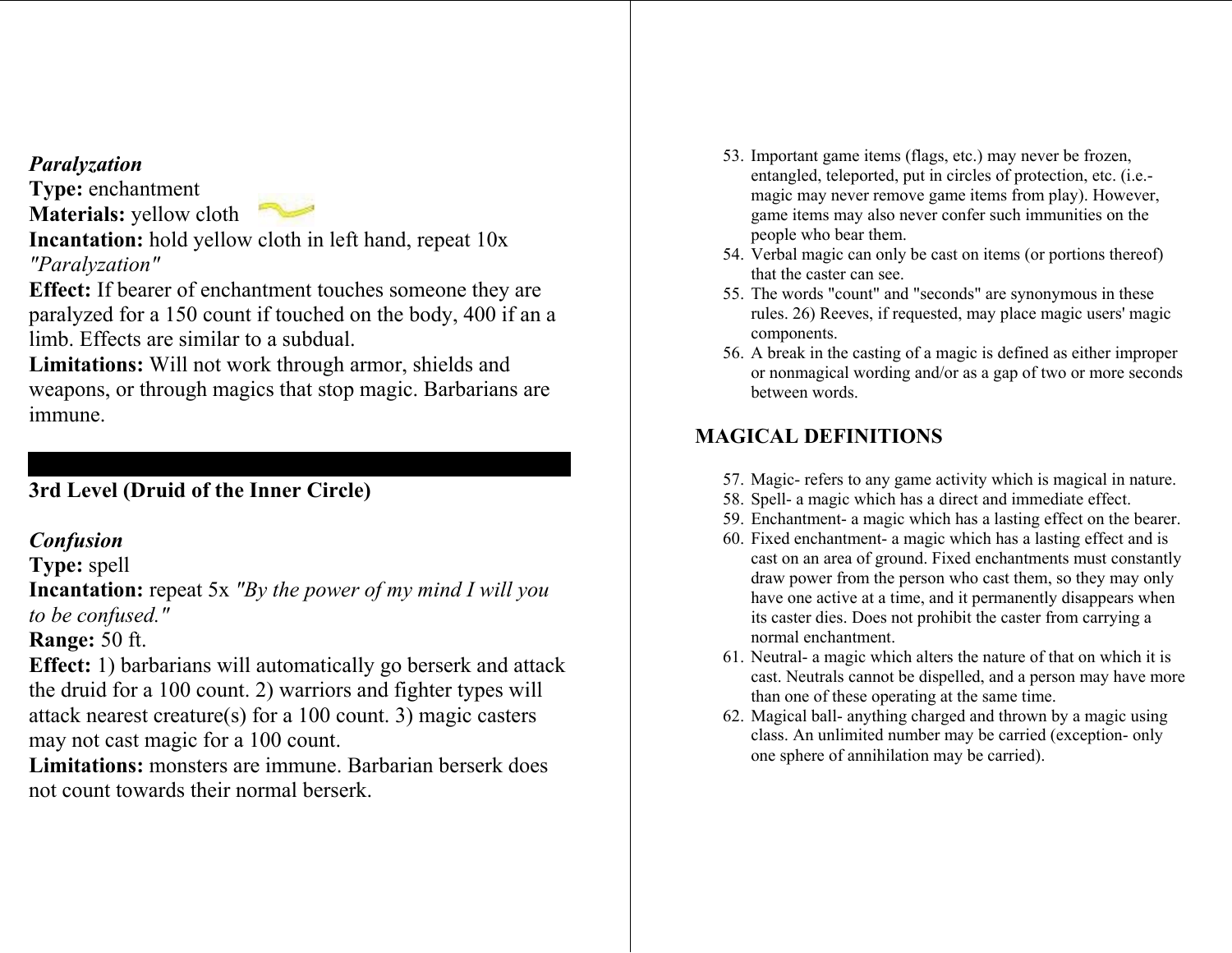#### *Paralyzation*

**Type:** enchantment **Materials:** yellow cloth

**Incantation:** hold yellow cloth in left hand, repeat 10x *"Paralyzation"*

**Effect:** If bearer of enchantment touches someone they are paralyzed for a 150 count if t ouched on the body, 400 if an a limb. Effects are similar to a subdual.

**Limitations:** Will not work through armor, shields and weapons, or through m agics that stop magic. Barbarians are immune.

# **3rd Level (Druid of the Inner Circle)**

# *Confusion*

**Type:** spell

**Incantation:** repeat 5x *"By the power of my mind I will you to be confused."*

# **Range:** 50 ft.

**Effect:** 1) barbarians will automatically go berserk and attack the druid for a 100 count. 2) warriors and fighter types will attack nearest creature(s) for a 100 count. 3) magic casters may not cast magic for a 100 count.

**Limitations:** monsters are immune. Barbarian berserk does not count towards their normal berserk.

- 53. Important game items (flags, etc.) may never be frozen, entangled, teleported, put i n circles of protection, etc. (i.e. magic may never remove game items from play). However, ga me items may also never confer suc h immunities on the people who bear them.
- 54. Verbal magic can only be cast on items ( or portions thereof) that the caster can see.
- 55. The words "count" and "seconds" are synony mous in these rules. 26) Reeves, if requested, may place magic users' magic co mponents.
- 56. A break in the casting of a magic is defined as either improper or nonmagical wording and/or as a gap of two or m ore seconds between words.

# **MAGICAL DEFINITIONS**

- 57. Magic- refers to an y game activity which is magical i n nature.
- 58. Spell- a magic which has a direct and immediate effect.
- 59. Enchantment- a magic which has a lasting effect on the bearer.
- 60. Fixed enchant ment- a magic which has a lasting effect and is cast on an area of ground. Fixed enchant ments must constantly draw power from the perso n who cast the m, so they may only have one active at a time, and it permanently disappears when its caster dies. Does not prohibit the caster fro m carrying a normal enchantment.
- 61. Neutral- a magic which alters the nature of that on which it is cast. Neutrals cannot be dis pelled, and a person may have m ore than one of these operating at the same time.
- 62. Magical ball- anythin g charged and thr own b y a magic using class. An unlimited number may be carried (exception- only one sphere of annihilation may be carried).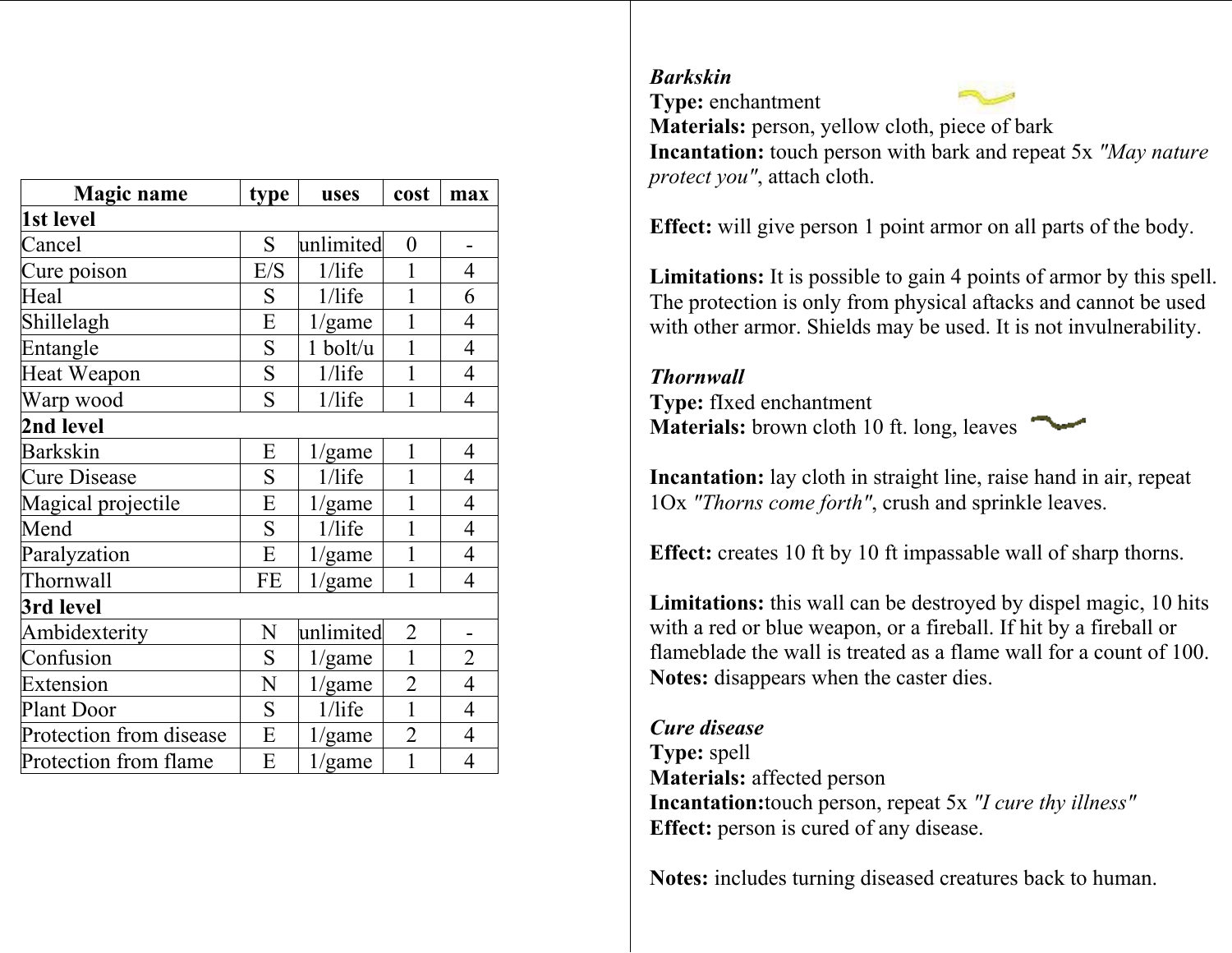| <b>Magic name</b>       | type | uses      | cost             | max            |
|-------------------------|------|-----------|------------------|----------------|
| 1st level               |      |           |                  |                |
| Cancel                  | S    | unlimited | $\boldsymbol{0}$ |                |
| Cure poison             | E/S  | $1/l$ ife | 1                | 4              |
| Heal                    | S    | $1/l$ ife | 1                | 6              |
| Shillelagh              | E    | 1/game    | 1                | 4              |
| Entangle                | S    | 1 bolt/u  | 1                | $\overline{4}$ |
| Heat Weapon             | S    | $1/l$ ife | 1                | $\overline{4}$ |
| Warp wood               | S    | $1/l$ ife | 1                | 4              |
| 2nd level               |      |           |                  |                |
| <b>Barkskin</b>         | E    | 1/game    | 1                | 4              |
| <b>Cure Disease</b>     | S    | $1/l$ ife | 1                | 4              |
| Magical projectile      | E    | 1/game    | 1                | 4              |
| Mend                    | S    | $1/l$ ife | 1                | $\overline{4}$ |
| Paralyzation            | E    | 1/game    | 1                | 4              |
| Thornwall               | FE   | 1/game    | 1                | 4              |
| 3rd level               |      |           |                  |                |
| Ambidexterity           | N    | unlimited | $\overline{2}$   |                |
| Confusion               | S    | 1/game    | $\mathbf{1}$     | $\overline{2}$ |
| Extension               | N    | 1/game    | $\overline{2}$   | $\overline{4}$ |
| <b>Plant Door</b>       | S    | $1/l$ ife | $\mathbf{1}$     | 4              |
| Protection from disease | E    | 1/game    | $\overline{2}$   | $\overline{4}$ |
| Protection from flame   | E    | 1/game    | $\mathbf{1}$     | 4              |

#### *Barkskin*

**Type:** enchantment



**Materials:** person, yellow cloth, piece of bark **Incantation:** touch person with bark and repeat 5x *"May nature protect you"*, attach cloth.

**Effect:** will give person 1 point arm or on all parts of the body.

Limitations: It is possible to gain 4 points of armor by this spell. The protection is onl y from physical aftacks and cannot be used with other arm or. Shields m ay b e used. It is not invulnerability.

#### *Thornwall*

**Type:** fIxed enchantment **Materials:** brown cloth 10 ft. long, leaves



**Incantation:** lay cloth in straight line, raise hand in air, repeat 1Ox *"Thorns come forth"*, crush and sprinkle leaves.

**Effect:** creates 10 ft by 10 ft i mpassable wall of sharp thorns.

**Limitations:** this wall can be destroyed by dispel magic, 10 hits with a red or blue weapon, or a fireball. If hit by a fireball or flameblade the wall is treated as a flame wall for a count of 100.**Notes:** disappears when the caster dies.

#### *Cure disease*

**Type:** spell **Materials:** affected person **Incantation:**touch person, repeat 5x *"I cure thy illness"* **Effect:** person is cured of any disease.

**Notes:** includes turning diseased creatures back to h uman.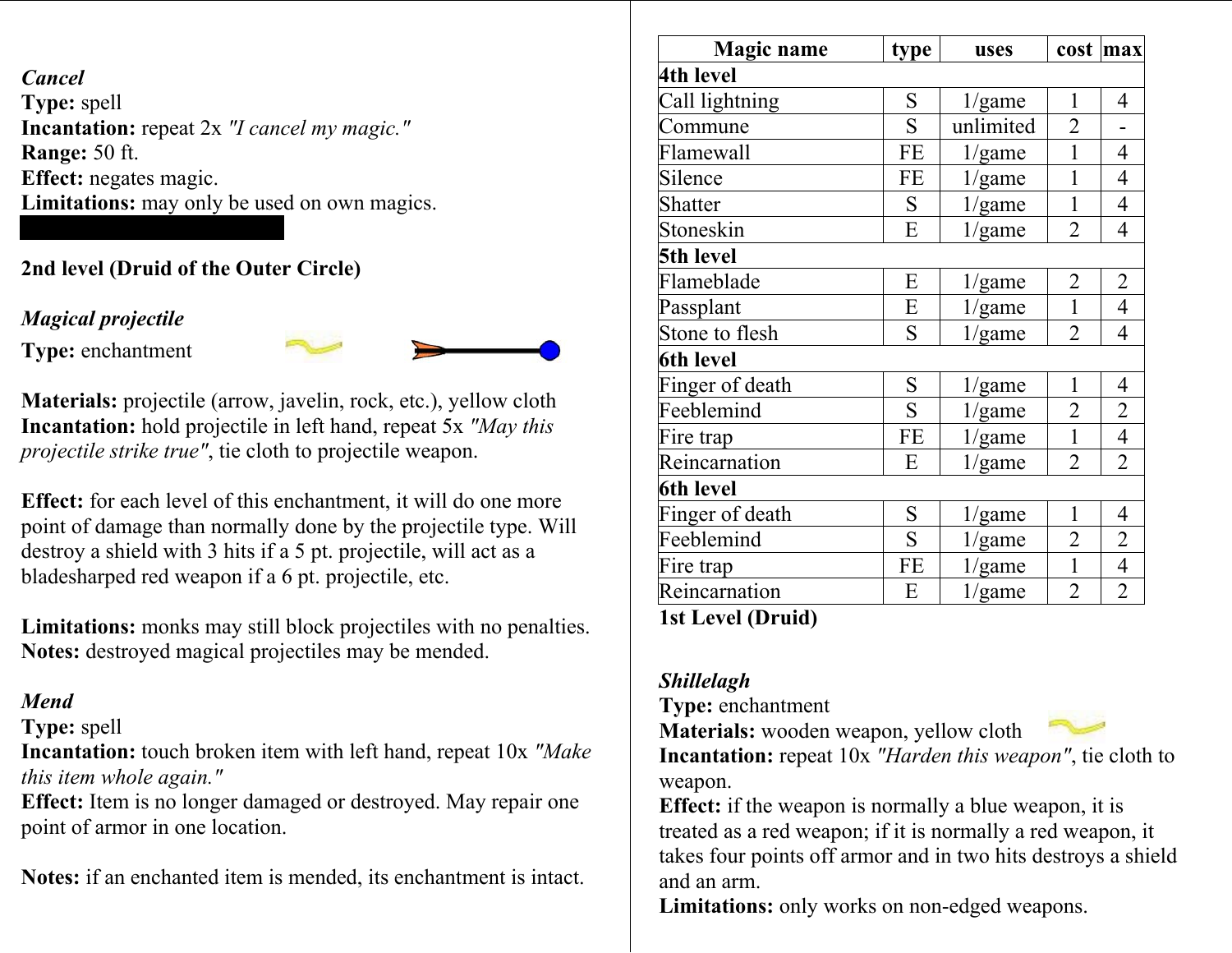*Cancel* **Type:** spell **Incantation:** repeat 2x *"I cancel my magic."* **Range:** 50 ft. **Effect:** negates magic. **Limitations:** may only be used on own magics.

# **2nd level (Druid of the Outer Circle)**

# *Magical projectile*

**Type:** enchantment



**Materials:** projectile (arrow, javelin, rock, etc.), y ellow cloth **Incantation:** hold projectile in left hand, repeat 5x *"May this projectile strike true"*, tie cloth to projectile weapon.

**Effect:** for each level of this enchantment, it will do one more point of damage than norm ally done by the projectile type. Will destroy a shield with 3 hits if a 5 pt. projectile, will act as a bladesharped red weapon if a 6 pt. projectile, etc.

**Limitations:** monks may still block projectiles with no penalties. **Notes:** destroyed m agical projectiles may be mended.

# *Mend*

**Type:** spell

**Incantation:** touch broken item with left hand, repeat 10x *"Make this item whole again."*

**Effect:** Item is no longer dam aged or destroyed. May repair one point of arm or in one location.

**Notes:** if an enchanted item is mended, its enchant ment is intact.

| <b>Magic name</b>        | type      | uses      | cost           | max            |  |  |
|--------------------------|-----------|-----------|----------------|----------------|--|--|
| 4th level                |           |           |                |                |  |  |
| Call lightning           | S         | 1/game    | 1              | 4              |  |  |
| Commune                  | S         | unlimited | $\overline{2}$ |                |  |  |
| Flamewall                | <b>FE</b> | 1/game    | $\mathbf{1}$   | $\overline{4}$ |  |  |
| Silence                  | <b>FE</b> | 1/game    | $\mathbf{1}$   | $\overline{4}$ |  |  |
| Shatter                  | S         | 1/game    | 1              | $\overline{4}$ |  |  |
| Stoneskin                | E         | 1/game    | $\overline{2}$ | $\overline{4}$ |  |  |
| 5th level                |           |           |                |                |  |  |
| Flameblade               | E         | 1/game    | $\overline{2}$ | $\overline{2}$ |  |  |
| Passplant                | Ε         | 1/game    | $\mathbf{1}$   | $\overline{4}$ |  |  |
| Stone to flesh           | S         | 1/game    | $\overline{2}$ | $\overline{4}$ |  |  |
| <b>6th level</b>         |           |           |                |                |  |  |
| Finger of death          | S         | 1/game    | 1              | $\overline{4}$ |  |  |
| Feeblemind               | S         | 1/game    | $\overline{2}$ | $\overline{2}$ |  |  |
| Fire trap                | FE        | 1/game    | $\mathbf{1}$   | $\overline{4}$ |  |  |
| Reincarnation            | E         | 1/game    | $\overline{2}$ | $\overline{2}$ |  |  |
| <b>6th level</b>         |           |           |                |                |  |  |
| Finger of death          | S         | 1/game    | 1              | 4              |  |  |
| Feeblemind               | S         | 1/game    | $\overline{2}$ | $\overline{2}$ |  |  |
| Fire trap                | <b>FE</b> | 1/game    | $\mathbf{1}$   | $\overline{4}$ |  |  |
| Reincarnation            | E         | 1/game    | $\overline{2}$ | $\overline{2}$ |  |  |
| <b>1st Level (Druid)</b> |           |           |                |                |  |  |

*Shillelagh* 

**Type:** enchantment

**Materials:** wooden weapon, yellow cloth



**Incantation:** repeat 10x *"Harden this weapon"*, tie cloth to weapon.

**Effect:** if the weapon is norm ally a blue weapon, it is treated as a red weapon; if it is norm ally a red weapon, it takes four points off arm or and in two hits destroys a shield and an arm.

**Limitations:** only works on non-edged weapons.